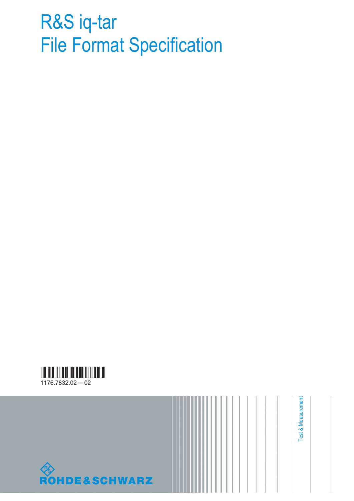# R&S iq-tar File Format Specification





Test & Measurement Test & Measurement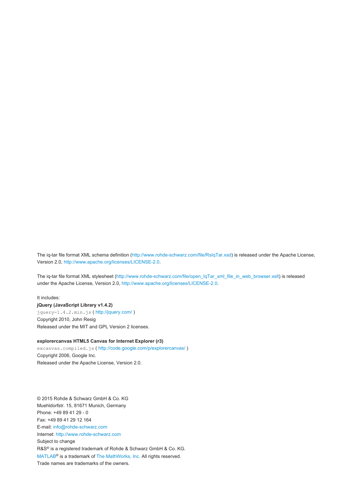The iq-tar file format XML schema definition (<http://www.rohde-schwarz.com/file/RsIqTar.xsd>) is released under the Apache License, Version 2.0,<http://www.apache.org/licenses/LICENSE-2.0>.

The iq-tar file format XML stylesheet ([http://www.rohde-schwarz.com/file/open\\_IqTar\\_xml\\_file\\_in\\_web\\_browser.xslt](http://www.rohde-schwarz.com/file/open_IqTar_xml_file_in_web_browser.xslt)) is released under the Apache License, Version 2.0, [http://www.apache.org/licenses/LICENSE-2.0.](http://www.apache.org/licenses/LICENSE-2.0)

It includes: **jQuery (JavaScript Library v1.4.2)** jquery-1.4.2.min.js ( <http://jquery.com/> ) Copyright 2010, John Resig Released under the MIT and GPL Version 2 licenses.

#### **explorercanvas HTML5 Canvas for Internet Explorer (r3)**

excanvas.compiled.js (<http://code.google.com/p/explorercanvas/>) Copyright 2006, Google Inc. Released under the Apache License, Version 2.0.

© 2015 Rohde & Schwarz GmbH & Co. KG Muehldorfstr. 15, 81671 Munich, Germany Phone: +49 89 41 29 - 0 Fax: +49 89 41 29 12 164 E-mail: [info@rohde-schwarz.com](mailto:info@rohde-schwarz.com) Internet: <http://www.rohde-schwarz.com> Subject to change R&S® is a registered trademark of Rohde & Schwarz GmbH & Co. KG. [MATLAB](http://www.mathworks.de/products/matlab/)® is a trademark of [The MathWorks, Inc.](http://www.mathworks.de/index.html) All rights reserved. Trade names are trademarks of the owners.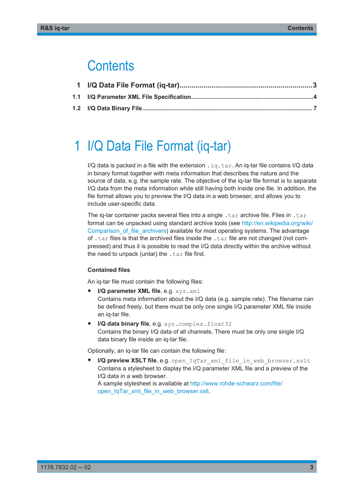## **Contents**

# 1 I/Q Data File Format (iq-tar)

I/Q data is packed in a file with the extension .  $ig.tar$ . An iq-tar file contains I/Q data in binary format together with meta information that describes the nature and the source of data, e.g. the sample rate. The objective of the iq-tar file format is to separate I/Q data from the meta information while still having both inside one file. In addition, the file format allows you to preview the I/Q data in a web browser, and allows you to include user-specific data.

The iq-tar container packs several files into a single  $.\n\tan x$  archive file. Files in  $.\n\tan x$ format can be unpacked using standard archive tools (see [http://en.wikipedia.org/wiki/](http://en.wikipedia.org/wiki/Comparison_of_file_archivers) [Comparison\\_of\\_file\\_archivers\)](http://en.wikipedia.org/wiki/Comparison_of_file_archivers) available for most operating systems. The advantage of . tar files is that the archived files inside the . tar file are not changed (not compressed) and thus it is possible to read the I/Q data directly within the archive without the need to unpack (untar) the  $.\n\tan$  file first.

#### **Contained files**

An iq-tar file must contain the following files:

● **I/Q parameter XML file**, e.g. xyz.xml

Contains meta information about the I/Q data (e.g. sample rate). The filename can be defined freely, but there must be only one single I/Q parameter XML file inside an iq-tar file.

**I/Q data binary file**, e.g. xyz.complex.float32 Contains the binary I/Q data of all channels. There must be only one single I/Q data binary file inside an iq-tar file.

Optionally, an iq-tar file can contain the following file:

**I/Q preview XSLT file**, e.g. open IqTar xml file in web browser.xslt Contains a stylesheet to display the I/Q parameter XML file and a preview of the I/Q data in a web browser. A sample stylesheet is available at [http://www.rohde-schwarz.com/file/](http://www.rohde-schwarz.com/file/open_IqTar_xml_file_in_web_browser.xslt)

[open\\_IqTar\\_xml\\_file\\_in\\_web\\_browser.xslt](http://www.rohde-schwarz.com/file/open_IqTar_xml_file_in_web_browser.xslt).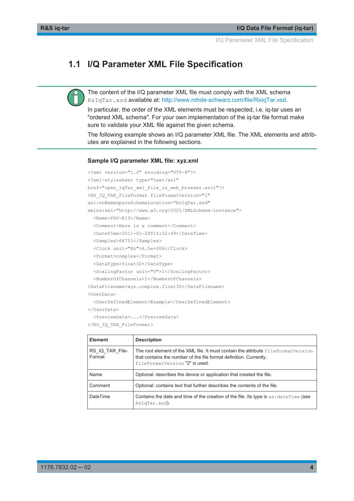I/Q Parameter XML File Specification

### <span id="page-3-0"></span>**1.1 I/Q Parameter XML File Specification**

The content of the I/Q parameter XML file must comply with the XML schema RsIqTar.xsd available at:<http://www.rohde-schwarz.com/file/RsIqTar.xsd>.

In particular, the order of the XML elements must be respected, i.e. iq-tar uses an "ordered XML schema". For your own implementation of the iq-tar file format make sure to validate your XML file against the given schema.

The following example shows an I/Q parameter XML file. The XML elements and attributes are explained in the following sections.

#### **Sample I/Q parameter XML file: xyz.xml**

```
<?xml version="1.0" encoding="UTF-8"?>
<?xml-stylesheet type="text/xsl" 
href="open_IqTar_xml_file_in_web_browser.xslt"?>
<RS_IQ_TAR_FileFormat fileFormatVersion="1" 
xsi:noNamespaceSchemaLocation="RsIqTar.xsd" 
xmlns:xsi="http://www.w3.org/2001/XMLSchema-instance">
  <Name>FSV-K10</Name>
  <Comment>Here is a comment</Comment>
  <DateTime>2011-01-24T14:02:49</DateTime>
  <Samples>68751</Samples>
  <Clock unit="Hz">6.5e+006</Clock>
  <Format>complex</Format>
  <DataType>float32</DataType>
  <ScalingFactor unit="V">1</ScalingFactor>
  <NumberOfChannels>1</NumberOfChannels>
<DataFilename>xyz.complex.float32</DataFilename>
<UserData>
  <UserDefinedElement>Example</UserDefinedElement>
</UserData>
   <PreviewData>...</PreviewData>
```

```
</RS_IQ_TAR_FileFormat>
```

| Element                   | <b>Description</b>                                                                                                                                                                        |
|---------------------------|-------------------------------------------------------------------------------------------------------------------------------------------------------------------------------------------|
| RS IQ TAR File-<br>Format | The root element of the XML file. It must contain the attribute fileFormatVersion<br>that contains the number of the file format definition. Currently,<br>fileFormatVersion "2" is used. |
| Name                      | Optional: describes the device or application that created the file.                                                                                                                      |
| Comment                   | Optional: contains text that further describes the contents of the file.                                                                                                                  |
| <b>DateTime</b>           | Contains the date and time of the creation of the file. Its type is $xs$ : dateTime (see<br>RsIqTar.xsd).                                                                                 |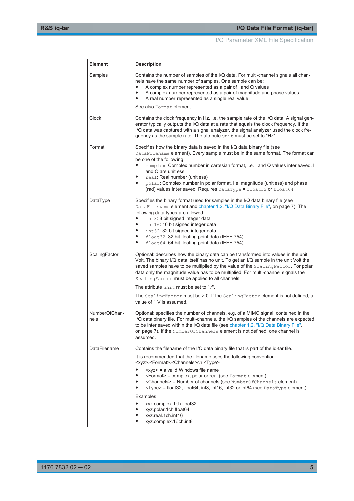I/Q Parameter XML File Specification

| <b>Element</b>        | <b>Description</b>                                                                                                                                                                                                                                                                                                                                                                                                                                                                                                                                                                                                                          |
|-----------------------|---------------------------------------------------------------------------------------------------------------------------------------------------------------------------------------------------------------------------------------------------------------------------------------------------------------------------------------------------------------------------------------------------------------------------------------------------------------------------------------------------------------------------------------------------------------------------------------------------------------------------------------------|
| Samples               | Contains the number of samples of the I/Q data. For multi-channel signals all chan-<br>nels have the same number of samples. One sample can be:<br>A complex number represented as a pair of I and Q values<br>A complex number represented as a pair of magnitude and phase values<br>٠<br>A real number represented as a single real value                                                                                                                                                                                                                                                                                                |
|                       | See also Format element.                                                                                                                                                                                                                                                                                                                                                                                                                                                                                                                                                                                                                    |
| Clock                 | Contains the clock frequency in Hz, i.e. the sample rate of the I/Q data. A signal gen-<br>erator typically outputs the I/Q data at a rate that equals the clock frequency. If the<br>I/Q data was captured with a signal analyzer, the signal analyzer used the clock fre-<br>quency as the sample rate. The attribute unit must be set to "Hz".                                                                                                                                                                                                                                                                                           |
| Format                | Specifies how the binary data is saved in the I/Q data binary file (see<br>DataFilename element). Every sample must be in the same format. The format can<br>be one of the following:<br>complex: Complex number in cartesian format, i.e. I and Q values interleaved. I<br>$\bullet$<br>and Q are unitless<br>real: Real number (unitless)<br>polar: Complex number in polar format, i.e. magnitude (unitless) and phase<br>٠<br>(rad) values interleaved. Requires DataType = float32 or float64                                                                                                                                          |
| DataType              | Specifies the binary format used for samples in the I/Q data binary file (see<br>DataFilename element and chapter 1.2, "I/Q Data Binary File", on page 7). The<br>following data types are allowed:<br>int8: 8 bit signed integer data<br>int16: 16 bit signed integer data<br>٠<br>int32: 32 bit signed integer data<br>float32: 32 bit floating point data (IEEE 754)<br>$\bullet$<br>float64: 64 bit floating point data (IEEE 754)<br>$\bullet$                                                                                                                                                                                         |
| ScalingFactor         | Optional: describes how the binary data can be transformed into values in the unit<br>Volt. The binary I/Q data itself has no unit. To get an I/Q sample in the unit Volt the<br>saved samples have to be multiplied by the value of the ScalingFactor. For polar<br>data only the magnitude value has to be multiplied. For multi-channel signals the<br>ScalingFactor must be applied to all channels.<br>The attribute unit must be set to "v".<br>The Scaling Factor must be $> 0$ . If the Scaling Factor element is not defined, a<br>value of 1 V is assumed.                                                                        |
| NumberOfChan-<br>nels | Optional: specifies the number of channels, e.g. of a MIMO signal, contained in the<br>I/Q data binary file. For multi-channels, the I/Q samples of the channels are expected<br>to be interleaved within the I/Q data file (see chapter 1.2, "I/Q Data Binary File"<br>on page 7). If the NumberOfChannels element is not defined, one channel is<br>assumed.                                                                                                                                                                                                                                                                              |
| DataFilename          | Contains the filename of the I/Q data binary file that is part of the iq-tar file.<br>It is recommended that the filename uses the following convention:<br><xyz>.<format>.<channels>ch.<type><br/><xyz> = a valid Windows file name<br/><format> = complex, polar or real (see Format element)<br/><channels> = Number of channels (see NumberOfChannels element)<br/><type> = float32, float64, int8, int16, int32 or int64 (see DataType element)<br/>Examples:<br/>xyz.complex.1ch.float32<br/>xyz.polar.1ch.float64<br/>xyz.real.1ch.int16<br/>xyz.complex.16ch.int8</type></channels></format></xyz></type></channels></format></xyz> |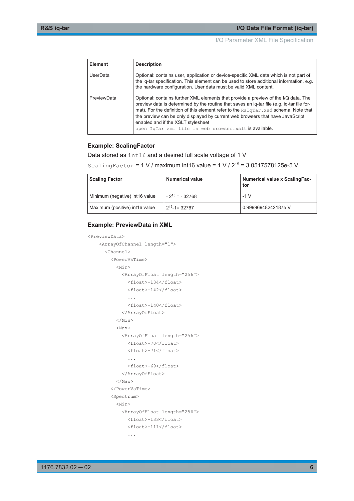I/Q Parameter XML File Specification

| <b>Element</b> | <b>Description</b>                                                                                                                                                                                                                                                                                                                                                                                                                                         |
|----------------|------------------------------------------------------------------------------------------------------------------------------------------------------------------------------------------------------------------------------------------------------------------------------------------------------------------------------------------------------------------------------------------------------------------------------------------------------------|
| UserData       | Optional: contains user, application or device-specific XML data which is not part of<br>the ig-tar specification. This element can be used to store additional information, e.g.<br>the hardware configuration. User data must be valid XML content.                                                                                                                                                                                                      |
| PreviewData    | Optional: contains further XML elements that provide a preview of the I/Q data. The<br>preview data is determined by the routine that saves an iq-tar file (e.g. iq-tar file for-<br>mat). For the definition of this element refer to the RSIqTar, xsd schema. Note that<br>the preview can be only displayed by current web browsers that have JavaScript<br>enabled and if the XSLT stylesheet<br>open IqTar xml file in web browser.xslt is available. |

#### **Example: ScalingFactor**

Data stored as int16 and a desired full scale voltage of 1 V

```
ScalingFactor = 1 \text{ V} / maximum int16 value = 1 \text{ V} / 2^{15} = 3.0517578125e-5 V
```

| <b>Scaling Factor</b>          | <b>Numerical value</b> | <b>Numerical value x ScalingFac-</b><br>tor |
|--------------------------------|------------------------|---------------------------------------------|
| Minimum (negative) int16 value | $-2^{15}$ = $-32768$   | $-1$ V                                      |
| Maximum (positive) int16 value | $2^{15} - 1 = 32767$   | 0.999969482421875 V                         |

#### **Example: PreviewData in XML**

```
<PreviewData>
     <ArrayOfChannel length="1">
       <Channel>
         <PowerVsTime>
          <Min> <ArrayOfFloat length="256">
               <float>-134</float>
               <float>-142</float>
                ...
               <float>-140</float>
             </ArrayOfFloat>
          \langle/Min\rangle <Max>
             <ArrayOfFloat length="256">
               <float>-70</float>
               <float>-71</float>
               ...
               <float>-69</float>
             </ArrayOfFloat>
          \langle/Max\rangle </PowerVsTime>
         <Spectrum>
           <Min>
             <ArrayOfFloat length="256">
               <float>-133</float>
               <float>-111</float>
```
...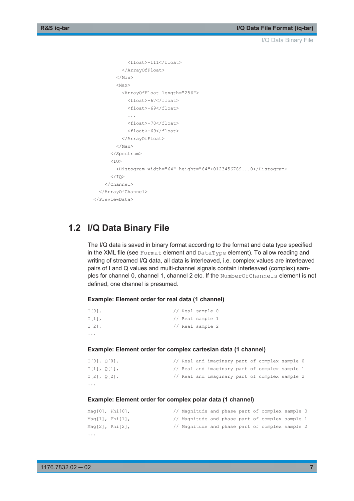```
 <float>-111</float>
            </ArrayOfFloat>
        \langle/Min>
         <Max>
            <ArrayOfFloat length="256">
             <float>-67</float>
             <float>-69</float>
              <float>-70</float>
             <float>-69</float>
           </ArrayOfFloat>
         </Max>
       </Spectrum>
      <T\cap <Histogram width="64" height="64">0123456789...0</Histogram>
      \langle/TO\rangle </Channel>
   </ArrayOfChannel>
 </PreviewData>
```
### **1.2 I/Q Data Binary File**

The I/Q data is saved in binary format according to the format and data type specified in the XML file (see Format element and DataType element). To allow reading and writing of streamed I/Q data, all data is interleaved, i.e. complex values are interleaved pairs of I and Q values and multi-channel signals contain interleaved (complex) samples for channel 0, channel 1, channel 2 etc. If the NumberOfChannels element is not defined, one channel is presumed.

#### **Example: Element order for real data (1 channel)**

```
I[0], // Real sample 0
I[1], // Real sample 1
I[2], // Real sample 2
...
```
#### **Example: Element order for complex cartesian data (1 channel)**

| $\cdots$ |                   |  |                                                |  |  |  |
|----------|-------------------|--|------------------------------------------------|--|--|--|
|          | $I[2]$ , $O[2]$ , |  | // Real and imaginary part of complex sample 2 |  |  |  |
|          | I[1], O[1],       |  | // Real and imaginary part of complex sample 1 |  |  |  |
|          | $I[0]$ , $Q[0]$ , |  | // Real and imaginary part of complex sample 0 |  |  |  |

#### **Example: Element order for complex polar data (1 channel)**

| $\cdots$ |                         |                                                 |  |  |  |  |
|----------|-------------------------|-------------------------------------------------|--|--|--|--|
|          | Maq $[2]$ , Phi $[2]$ , | // Magnitude and phase part of complex sample 2 |  |  |  |  |
|          | Maq $[1]$ , Phi $[1]$ , | // Magnitude and phase part of complex sample 1 |  |  |  |  |
|          | $Mag[0]$ , $Phi[0]$ ,   | // Magnitude and phase part of complex sample 0 |  |  |  |  |